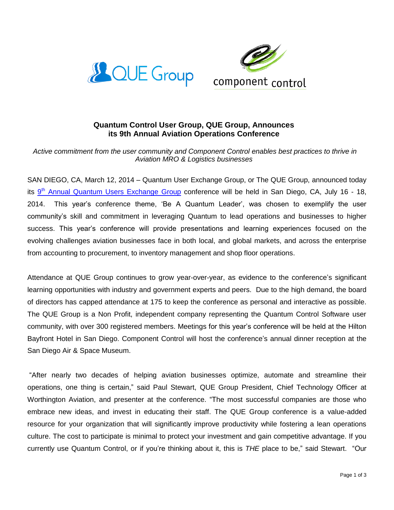



# **Quantum Control User Group, QUE Group, Announces its 9th Annual Aviation Operations Conference**

## *Active commitment from the user community and Component Control enables best practices to thrive in Aviation MRO & Logistics businesses*

SAN DIEGO, CA, March 12, 2014 – Quantum User Exchange Group, or The QUE Group, announced today its 9<sup>th</sup> [Annual Quantum Users Exchange Group](http://quegroup.camp7.org/Default.aspx?pageId=1500308) conference will be held in San Diego, CA, July 16 - 18, 2014. This year's conference theme, 'Be A Quantum Leader', was chosen to exemplify the user community's skill and commitment in leveraging Quantum to lead operations and businesses to higher success. This year's conference will provide presentations and learning experiences focused on the evolving challenges aviation businesses face in both local, and global markets, and across the enterprise from accounting to procurement, to inventory management and shop floor operations.

Attendance at QUE Group continues to grow year-over-year, as evidence to the conference's significant learning opportunities with industry and government experts and peers. Due to the high demand, the board of directors has capped attendance at 175 to keep the conference as personal and interactive as possible. The QUE Group is a Non Profit, independent company representing the Quantum Control Software user community, with over 300 registered members. Meetings for this year's conference will be held at the Hilton Bayfront Hotel in San Diego. Component Control will host the conference's annual dinner reception at the San Diego Air & Space Museum.

"After nearly two decades of helping aviation businesses optimize, automate and streamline their operations, one thing is certain," said Paul Stewart, QUE Group President, Chief Technology Officer at Worthington Aviation, and presenter at the conference. "The most successful companies are those who embrace new ideas, and invest in educating their staff. The QUE Group conference is a value-added resource for your organization that will significantly improve productivity while fostering a lean operations culture. The cost to participate is minimal to protect your investment and gain competitive advantage. If you currently use Quantum Control, or if you're thinking about it, this is *THE* place to be," said Stewart. "Our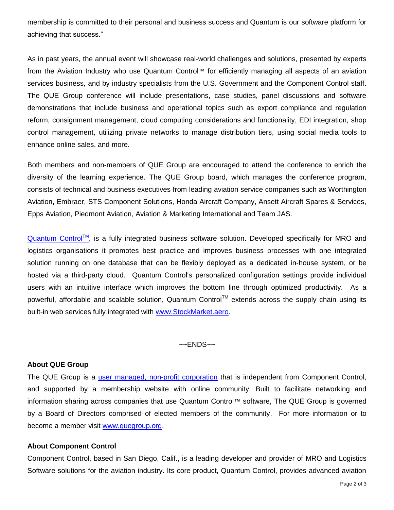membership is committed to their personal and business success and Quantum is our software platform for achieving that success."

As in past years, the annual event will showcase real-world challenges and solutions, presented by experts from the Aviation Industry who use Quantum Control™ for efficiently managing all aspects of an aviation services business, and by industry specialists from the U.S. Government and the Component Control staff. The QUE Group conference will include presentations, case studies, panel discussions and software demonstrations that include business and operational topics such as export compliance and regulation reform, consignment management, cloud computing considerations and functionality, EDI integration, shop control management, utilizing private networks to manage distribution tiers, using social media tools to enhance online sales, and more.

Both members and non-members of QUE Group are encouraged to attend the conference to enrich the diversity of the learning experience. The QUE Group board, which manages the conference program, consists of technical and business executives from leading aviation service companies such as Worthington Aviation, Embraer, STS Component Solutions, Honda Aircraft Company, Ansett Aircraft Spares & Services, Epps Aviation, Piedmont Aviation, Aviation & Marketing International and Team JAS.

 $Quantum Control<sup>TM</sup>$  $Quantum Control<sup>TM</sup>$ , is a fully integrated business software solution. Developed specifically for MRO and logistics organisations it promotes best practice and improves business processes with one integrated solution running on one database that can be flexibly deployed as a dedicated in-house system, or be hosted via a third-party cloud. Quantum Control's personalized configuration settings provide individual users with an intuitive interface which improves the bottom line through optimized productivity. As a powerful, affordable and scalable solution, Quantum Control<sup>TM</sup> extends across the supply chain using its built-in web services fully integrated with [www.StockMarket.aero.](http://www.stockmarket.aero/)

 $\sim$  ENDS $\sim$ 

### **About QUE Group**

The QUE Group is a user managed, [non-profit corporation](http://quegroup.camp7.org/Default.aspx?pageId=631278) that is independent from Component Control, and supported by a membership website with online community. Built to facilitate networking and information sharing across companies that use Quantum Control™ software, The QUE Group is governed by a Board of Directors comprised of elected members of the community. For more information or to become a member visit [www.quegroup.org.](http://www.quegroup.org/)

#### **About Component Control**

Component Control, based in San Diego, Calif., is a leading developer and provider of MRO and Logistics Software solutions for the aviation industry. Its core product, Quantum Control, provides advanced aviation